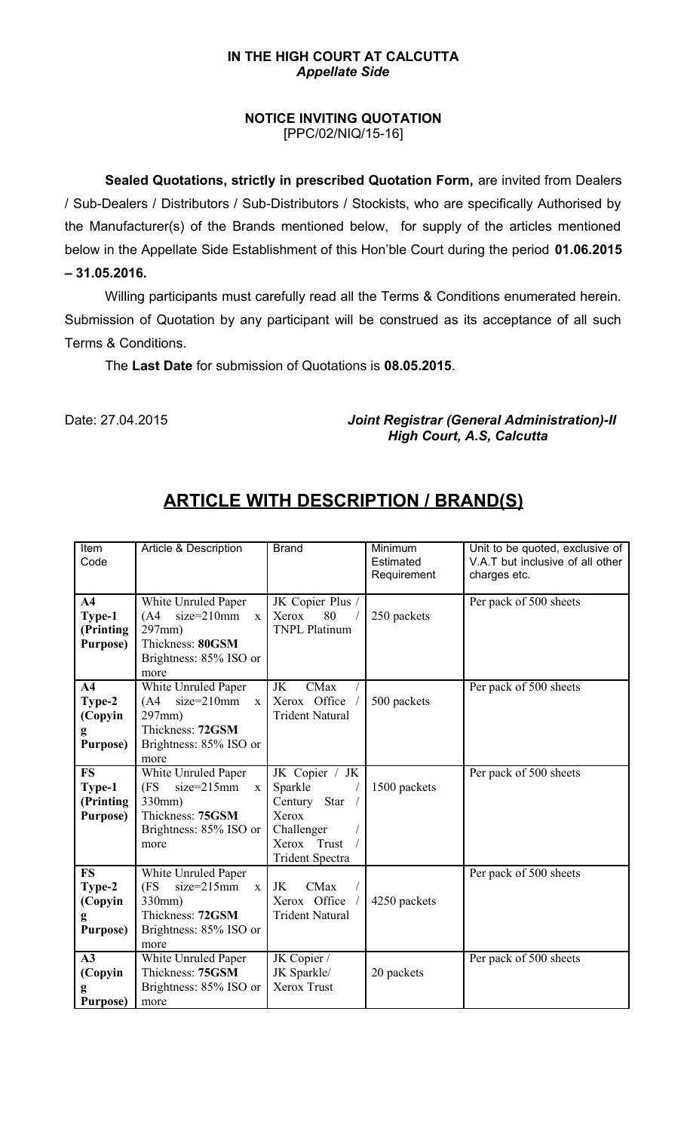#### **IN THE HIGH COURT AT CALCUTTA** *Appellate Side*

### **NOTICE INVITING QUOTATION** [PPC/02/NIQ/15-16]

**Sealed Quotations, strictly in prescribed Quotation Form,** are invited from Dealers / Sub-Dealers / Distributors / Sub-Distributors / Stockists, who are specifically Authorised by the Manufacturer(s) of the Brands mentioned below, for supply of the articles mentioned below in the Appellate Side Establishment of this Hon'ble Court during the period **01.06.2015 – 31.05.2016.**

Willing participants must carefully read all the Terms & Conditions enumerated herein. Submission of Quotation by any participant will be construed as its acceptance of all such Terms & Conditions.

The **Last Date** for submission of Quotations is **08.05.2015**.

Date: 27.04.2015 *Joint Registrar (General Administration)-II High Court, A.S, Calcutta* 

| Item<br>Code                                                | Article & Description                                                                                                              | <b>Brand</b>                                                                                                        | Minimum<br>Estimated<br>Requirement | Unit to be quoted, exclusive of<br>V.A.T but inclusive of all other<br>charges etc. |
|-------------------------------------------------------------|------------------------------------------------------------------------------------------------------------------------------------|---------------------------------------------------------------------------------------------------------------------|-------------------------------------|-------------------------------------------------------------------------------------|
| A <sub>4</sub><br>Type-1<br>(Printing<br>Purpose)           | White Unruled Paper<br>$size=210$ mm<br>(A4)<br>$\mathbf{x}$<br>$297$ mm $)$<br>Thickness: 80GSM<br>Brightness: 85% ISO or<br>more | JK Copier Plus /<br>Xerox<br>80<br><b>TNPL Platinum</b>                                                             | 250 packets                         | Per pack of 500 sheets                                                              |
| A <sub>4</sub><br>Type-2<br>(Copyin<br>g<br><b>Purpose)</b> | White Unruled Paper<br>$size=210$ mm<br>(A4)<br>$\mathbf{x}$<br>297mm)<br>Thickness: 72GSM<br>Brightness: 85% ISO or<br>more       | <b>CMax</b><br>JK<br>Xerox Office<br><b>Trident Natural</b>                                                         | 500 packets                         | Per pack of 500 sheets                                                              |
| <b>FS</b><br>Type-1<br>(Printing<br>Purpose)                | White Unruled Paper<br>(FS<br>$size=215$ mm<br>$\mathbf{x}$<br>330mm)<br>Thickness: 75GSM<br>Brightness: 85% ISO or<br>more        | JK Copier / JK<br>Sparkle<br>Century<br><b>Star</b><br>Xerox<br>Challenger<br>Xerox Trust<br><b>Trident Spectra</b> | 1500 packets                        | Per pack of 500 sheets                                                              |
| <b>FS</b><br>Type-2<br>(Copyin<br>g<br>Purpose)             | White Unruled Paper<br>$size=215$ mm<br>(FS<br>$\mathbf{X}$<br>330mm)<br>Thickness: 72GSM<br>Brightness: 85% ISO or<br>more        | JK<br><b>CMax</b><br>Xerox Office<br><b>Trident Natural</b>                                                         | 4250 packets                        | Per pack of 500 sheets                                                              |
| A3<br>(Copyin<br><b>Purpose)</b>                            | White Unruled Paper<br>Thickness: 75GSM<br>Brightness: 85% ISO or<br>more                                                          | JK Copier /<br>JK Sparkle/<br><b>Xerox Trust</b>                                                                    | 20 packets                          | Per pack of 500 sheets                                                              |

# **ARTICLE WITH DESCRIPTION / BRAND(S)**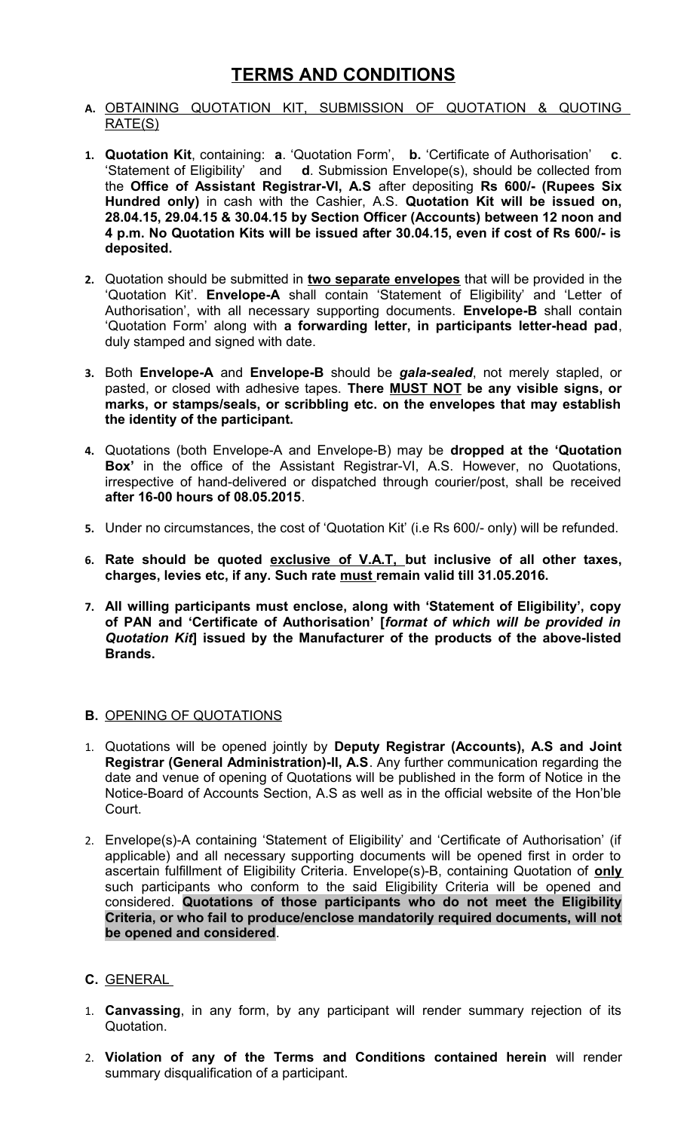## **TERMS AND CONDITIONS**

- **A.** OBTAINING QUOTATION KIT, SUBMISSION OF QUOTATION & QUOTING RATE(S)
- **1. Quotation Kit**, containing: **a**. 'Quotation Form', **b.** 'Certificate of Authorisation' **c**. 'Statement of Eligibility' and **d**. Submission Envelope(s), should be collected from the **Office of Assistant Registrar-VI, A.S** after depositing **Rs 600/- (Rupees Six Hundred only)** in cash with the Cashier, A.S. **Quotation Kit will be issued on, 28.04.15, 29.04.15 & 30.04.15 by Section Officer (Accounts) between 12 noon and 4 p.m. No Quotation Kits will be issued after 30.04.15, even if cost of Rs 600/- is deposited.**
- **2.** Quotation should be submitted in **two separate envelopes** that will be provided in the 'Quotation Kit'. **Envelope-A** shall contain 'Statement of Eligibility' and 'Letter of Authorisation', with all necessary supporting documents. **Envelope-B** shall contain 'Quotation Form' along with **a forwarding letter, in participants letter-head pad**, duly stamped and signed with date.
- **3.** Both **Envelope-A** and **Envelope-B** should be *gala-sealed*, not merely stapled, or pasted, or closed with adhesive tapes. **There MUST NOT be any visible signs, or marks, or stamps/seals, or scribbling etc. on the envelopes that may establish the identity of the participant.**
- **4.** Quotations (both Envelope-A and Envelope-B) may be **dropped at the 'Quotation Box'** in the office of the Assistant Registrar-VI, A.S. However, no Quotations, irrespective of hand-delivered or dispatched through courier/post, shall be received **after 16-00 hours of 08.05.2015**.
- **5.** Under no circumstances, the cost of 'Quotation Kit' (i.e Rs 600/- only) will be refunded.
- **6. Rate should be quoted exclusive of V.A.T, but inclusive of all other taxes, charges, levies etc, if any. Such rate must remain valid till 31.05.2016.**
- **7. All willing participants must enclose, along with 'Statement of Eligibility', copy of PAN and 'Certificate of Authorisation' [***format of which will be provided in Quotation Kit***] issued by the Manufacturer of the products of the above-listed Brands.**

### **B.** OPENING OF QUOTATIONS

- 1. Quotations will be opened jointly by **Deputy Registrar (Accounts), A.S and Joint Registrar (General Administration)-II, A.S**. Any further communication regarding the date and venue of opening of Quotations will be published in the form of Notice in the Notice-Board of Accounts Section, A.S as well as in the official website of the Hon'ble Court.
- 2. Envelope(s)-A containing 'Statement of Eligibility' and 'Certificate of Authorisation' (if applicable) and all necessary supporting documents will be opened first in order to ascertain fulfillment of Eligibility Criteria. Envelope(s)-B, containing Quotation of **only** such participants who conform to the said Eligibility Criteria will be opened and considered. **Quotations of those participants who do not meet the Eligibility Criteria, or who fail to produce/enclose mandatorily required documents, will not be opened and considered**.

### **C.** GENERAL

- 1. **Canvassing**, in any form, by any participant will render summary rejection of its Quotation.
- 2. **Violation of any of the Terms and Conditions contained herein** will render summary disqualification of a participant.